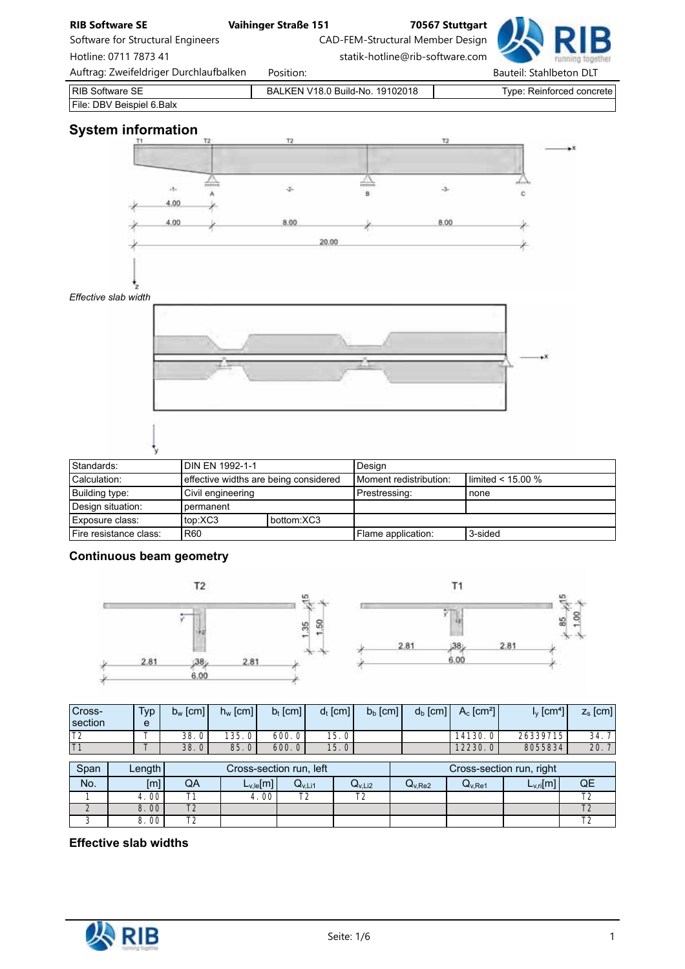

| Building type:         | Civil engineering |            | Prestressing:      | none    |
|------------------------|-------------------|------------|--------------------|---------|
| Design situation: I    | I permanent       |            |                    |         |
| l Exposure class:      | top:XC3           | bottom:XC3 |                    |         |
| Fire resistance class: | R60               |            | Flame application: | 3-sided |

# Continuous beam geometry



| Cross-<br>section | Type <sub>1</sub><br>e | $b_w$ [cm] | $h_w$ [cm]      | $b_t$ [cm] | $d_t$ [cm]        | $b_b$ [cm] | $d_b$ [cm] | $A_c$ [cm <sup>2</sup> ] | $I_V$ $\left[cm^{4} \right]$ | $z_{s}$ [cm] |
|-------------------|------------------------|------------|-----------------|------------|-------------------|------------|------------|--------------------------|------------------------------|--------------|
| T <sub>2</sub>    |                        | 38.0       | 135.<br>0       | 600.0      | 15.01             |            |            | 14130.0                  | 26339715                     | 34.          |
|                   |                        | 38.01      | 85.<br>$\Omega$ | 600.0      | 15.0 <sub>1</sub> |            |            | 12230.0                  | 8055834                      | 20.7         |

| Span   | Length |            |                   | Cross-section run, left |             |             |                    | Cross-section run, right |              |
|--------|--------|------------|-------------------|-------------------------|-------------|-------------|--------------------|--------------------------|--------------|
| No.    | [m]    | QA         | $L_{v,le}[m]$     | $Q_{V,L11}$             | $Q_{V,Li2}$ | $Q_{V,Re2}$ | Q <sub>V.Re1</sub> | $L_{V,ri}[m]$            | QE           |
|        | 4.00   |            | 4.00 <sup>1</sup> | エク                      | ᠇           |             |                    |                          | $\mathbf{r}$ |
|        | 8.00   | $T^{\sim}$ |                   |                         |             |             |                    |                          |              |
| $\sim$ | 8.00   | ᠇          |                   |                         |             |             |                    |                          | $\mathbf{r}$ |

Effective slab widths

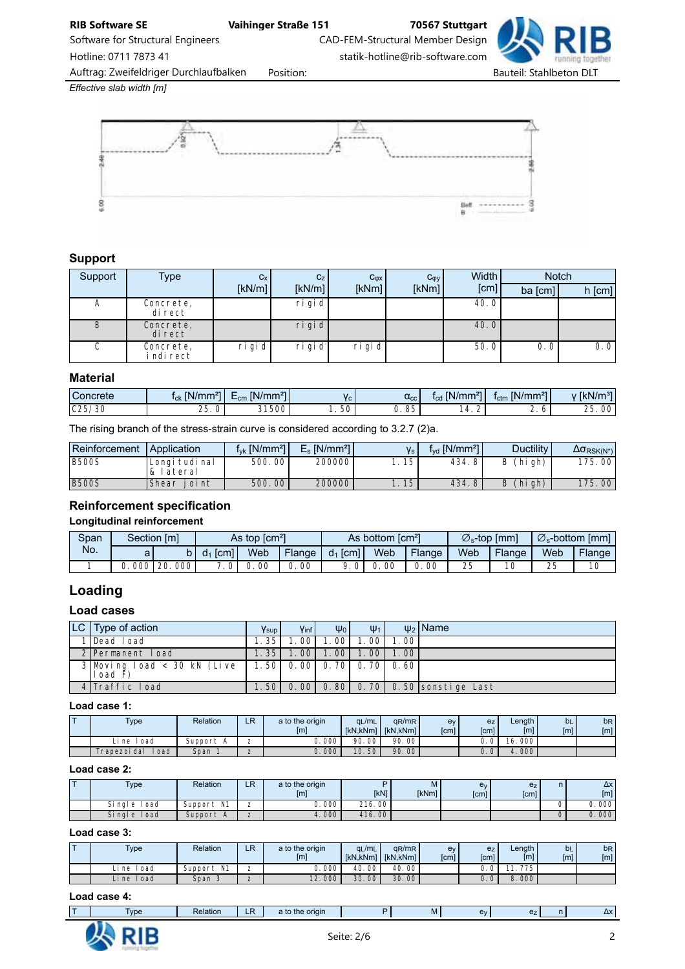Software for Structural Engineers CAD-FEM-Structural Member Design

Hotline: 0711 7873 41 statik-hotline@rib-software.com

Auftrag: Zweifeldriger Durchlaufbalken Position: etc. etc. Bauteil: Stahlbeton DLT

*Effective slab width [m]*



# Support

| Support | Type                    | $C_{X}$   | C <sub>Z</sub> | $C_{\phi X}$ | $C_{\phi y}$ | Width I |           | <b>Notch</b> |
|---------|-------------------------|-----------|----------------|--------------|--------------|---------|-----------|--------------|
|         |                         | [kN/m]    | [kN/m]         | [kNm]        | [kNm]        | [cm]    | $ba$ [cm] | $h$ [cm]     |
| A       | Concrete,<br>di rect    |           | ri gi d        |              |              | 40.0    |           |              |
| B       | Concrete,<br>di rect    |           | $ri$ gi d      |              |              | 40.0    |           |              |
| C.      | Concrete,<br>i ndi rect | $ri$ gi d | ri gi d        | $ri$ gi d    |              | 50.0    | 0.0       | 0.0          |

#### **Material**

| $\mathcal{L}$ oncrete              | INI<br>27<br>lmn<br>. .<br>'''''<br><b>ICK</b> | $\sim$<br><b>FR.1.1</b><br>IN/mm <sup>2</sup><br>$=$ cm | V <sub>c</sub> | $\alpha_{\rm cc}$ | $\sqrt{(N/mn)}$<br>$\sim$<br>$\sqrt{m}$<br><b>Icd</b> | $IN/mm^2$<br>$\sim$<br>Ictm | 27<br><b>A</b> 11<br>$1 - 31$<br><b>IKN</b><br><b>WIII</b> |
|------------------------------------|------------------------------------------------|---------------------------------------------------------|----------------|-------------------|-------------------------------------------------------|-----------------------------|------------------------------------------------------------|
| $\cap$<br>/30<br><b>JL</b><br>UZJ. | OE.<br>-<br>∠J<br>ັ                            | 21EOP<br>5UC                                            | $50^{\circ}$   | OF<br>ັບ<br>J.    | $\prime$                                              | <u>.</u><br>ັ               | $\sim$ $-$<br>nη<br>w                                      |

The rising branch of the stress-strain curve is considered according to 3.2.7 (2)a.

| Reinforcement | Application                    | $f_{\rm vk}$ [N/mm <sup>2</sup> ] <sup>1</sup> | $E_s$ [N/mm <sup>2</sup> ] |    | $f_{\text{vd}}$ [N/mm <sup>2</sup> ] | <b>Ductility</b> | $\Delta \sigma_{RSK(N^*)}$ |
|---------------|--------------------------------|------------------------------------------------|----------------------------|----|--------------------------------------|------------------|----------------------------|
| <b>B500S</b>  | Longi tudi nal<br>lateral<br>& | 500.00                                         | 200000                     | 15 | 434.8                                | (hi gh)<br>B     | 175.00                     |
| <b>B500S</b>  | Shear<br>i oi nt               | 500.00                                         | 200000                     | 15 | 434.8                                | (hi gh)<br>B     | 175,00                     |

# Reinforcement specification

Longitudinal reinforcement

| Span |     | Section [m] |                           | As top $\text{[cm}^2$ |        |               | As bottom [cm <sup>2</sup> ] |        |     | $\varnothing_{\rm s}$ -top [mm] | $\varnothing_{\rm s}$ -bottom [mm] |        |  |
|------|-----|-------------|---------------------------|-----------------------|--------|---------------|------------------------------|--------|-----|---------------------------------|------------------------------------|--------|--|
| No.  | a   |             | $d_1$ [cm] $\blacksquare$ | Web                   | Flange | [cm]<br>$d_1$ | Web                          | Flange | Web | Flange                          | Web                                | Flange |  |
|      | 000 | 000<br>-20. | $\overline{0}$            | . 00                  | 00     |               | -00                          | 00     | 25  | 10                              | 25                                 | 10     |  |

# Loading

# Load cases

| $ LC $ Type of action                    | $V_{\text{sup}}$ | Vinf I                   | $\Psi_0$ | $\Psi_1$ |       | $\psi_2$ Name                          |
|------------------------------------------|------------------|--------------------------|----------|----------|-------|----------------------------------------|
| 1 Dead Load                              | 1.35             | . 00 l                   | 1.001    | 1.00     | 1.001 |                                        |
| 2 Permanent Load                         | 1. 35 l          | 1.00                     | 1.00     | 1.001    | 1.001 |                                        |
| $3$ Moving load < 30 kN (Live<br>load F) |                  | 1.50 0.00 0.70 0.70 0.60 |          |          |       |                                        |
| 4 Traffic Load                           |                  |                          |          |          |       | 1.50 0.00 0.80 0.70 0.50 sonstige Last |

#### Load case 1:

| $\mathsf{Type}$    | Relation                  | D<br>LГ | a to the origin<br>[m] | $q_L/m_L$<br><b>IKN.kNml</b> | $q_R/m_R$<br><b>IkN.kNml</b> | ev<br>[cm] | e <sub>Z</sub><br>[cm] | Length<br>$\lceil m \rceil$ | bL<br>[m] | b <sub>R</sub><br>[ <sub>m</sub> ] |
|--------------------|---------------------------|---------|------------------------|------------------------------|------------------------------|------------|------------------------|-----------------------------|-----------|------------------------------------|
| ∣oad<br>Li ne      | Support<br>$\overline{P}$ |         | 000                    | 90<br>-00 l                  | 90.00                        |            | $\Omega$               | 000<br>16.                  |           |                                    |
| rapezoi dal<br>oad | Span                      |         | $J.000^{\circ}$        | 10.50                        | 90.00                        |            | υ.                     | .000 <sup>1</sup><br>4      |           |                                    |

#### Load case 2:

| <b>Type</b>       | Relation   | D<br>- 1 | a to the origin<br>[ <sub>m</sub> ] | <b>IkN1</b> | M<br><b>IkNml</b> | e <sub>v</sub><br>[cm] | e <sub>z</sub><br>[cm] | $\Delta x$<br>[m] |
|-------------------|------------|----------|-------------------------------------|-------------|-------------------|------------------------|------------------------|-------------------|
| Si nal e<br>i oad | Support N1 | -        | .000                                | 216.00      |                   |                        |                        | 0.000             |
| Single load       | Support A  |          | 4.000                               | 416.00      |                   |                        |                        | 0.000             |

# Load case 3:

| $\overline{\phantom{a}}$ | <b>Type</b>        | Relation      | R<br>- 1 | a to the origin<br>[ml] | $q_L/m_L$<br>[kN,kNm] | qR/mR<br><b>IkN.kNml</b> | ev<br>[cm] | e <sub>z</sub><br>[cm] | Length<br>[m] | bL<br>[ <sub>m</sub> ] | b <sub>R</sub><br>[ml] |
|--------------------------|--------------------|---------------|----------|-------------------------|-----------------------|--------------------------|------------|------------------------|---------------|------------------------|------------------------|
|                          | ∣oad<br>_i ne      | N1<br>Support |          | 000                     | 00 <sub>1</sub><br>40 | 40.00                    |            | U.                     | 775           |                        |                        |
|                          | l oad<br>$\Box$ ne | Span 3        |          | .2.0001                 | 30<br>00 <sup>°</sup> | 30.00                    |            | $\Omega$<br>υ.         | 000           |                        |                        |

#### Load case 4:

|  | <b>I</b> vpe | Relation<br>. . <u>.</u> | --<br><b>Contract Contract Contract Contract Contract Contract Contract Contract Contract Contract Contract Contract Co</b> | origin<br><b>The</b><br>ιτο |  | <b>IVI</b> | $\overline{\phantom{a}}$ |  |  | $\mathbf{v}$ |
|--|--------------|--------------------------|-----------------------------------------------------------------------------------------------------------------------------|-----------------------------|--|------------|--------------------------|--|--|--------------|
|--|--------------|--------------------------|-----------------------------------------------------------------------------------------------------------------------------|-----------------------------|--|------------|--------------------------|--|--|--------------|

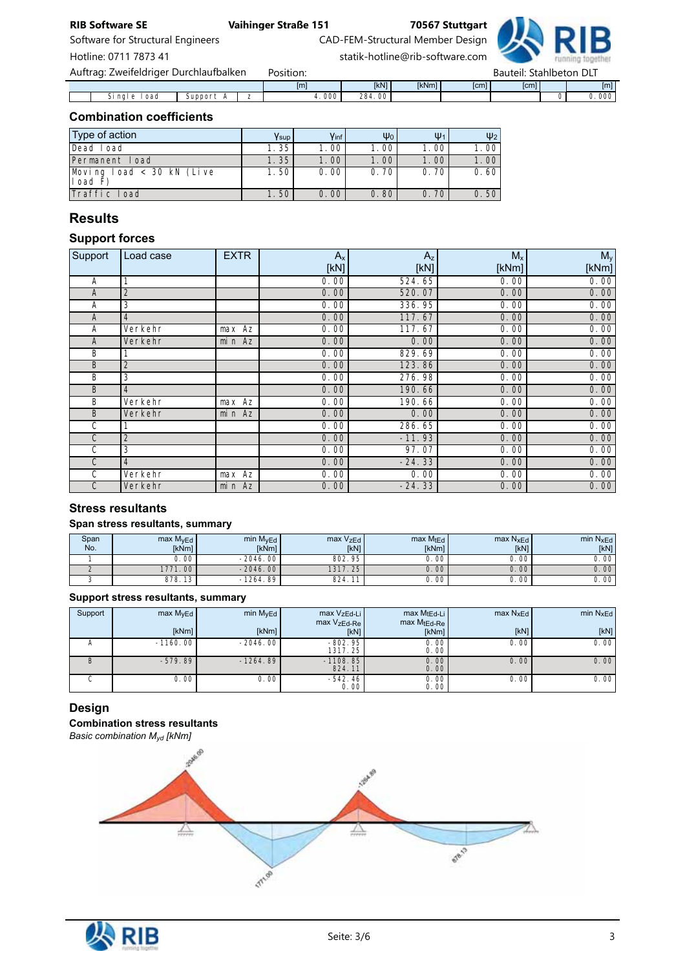Software for Structural Engineers CAD-FEM-Structural Member Design

Hotline: 0711 7873 41 statik-hotline@rib-software.com

| Auftrag: Zweifeldriger Durchlaufbalken |         | Position: |             |              |      | Bauteil: Stahlbeton DLT |     |
|----------------------------------------|---------|-----------|-------------|--------------|------|-------------------------|-----|
|                                        |         | [m]       | <b>IkN1</b> | <b>IkNml</b> | [cm] | <b>Cml</b>              | [m] |
| Si nal e<br>l oad                      | Support | .000'     | 284.00      |              |      |                         | 000 |

# Combination coefficients

| Type of action                       | Ysup | Vinf              | $\Psi_0$ | $\Psi_1$ | $\Psi_2$          |
|--------------------------------------|------|-------------------|----------|----------|-------------------|
| Dead Load                            | 1.35 | 1.00 <sub>1</sub> | 1.00     | 1.00     | 1.00              |
| Permanent Load                       | 1.35 | 1.00              | 1.00,    | 1.00     | 1.00 <sub>1</sub> |
| Moving load < 30 kN (Live<br>load F) | 1.50 | 0.00              | 0.70     | 0.70     | 0.60              |
| Traffic load                         | 1.50 | 0.00              | 0.80     | 0.70     | 0.50              |

# Results

# Support forces

| Support      | Load case | <b>EXTR</b> | $A_{x}$ | $A_{z}$  | $M_{x}$ | $M_{y}$ |
|--------------|-----------|-------------|---------|----------|---------|---------|
|              |           |             | [kN]    | [KN]     | [kNm]   | [kNm]   |
| Α            |           |             | 0.00    | 524.65   | 0.00    | 0.00    |
| A            | 2         |             | 0.00    | 520.07   | 0.00    | 0.00    |
| А            | 3         |             | 0.00    | 336.95   | 0.00    | 0.00    |
| A            | 4         |             | 0.00    | 117.67   | 0.00    | 0.00    |
| А            | Verkehr   | max Az      | 0.00    | 117.67   | 0.00    | 0.00    |
| A            | Verkehr   | min Az      | 0.00    | 0.00     | 0.00    | 0.00    |
| B            |           |             | 0.00    | 829.69   | 0.00    | 0.00    |
| B            | 2         |             | 0.00    | 123.86   | 0.00    | 0.00    |
| B            | 3         |             | 0.00    | 276.98   | 0.00    | 0.00    |
| B            | 4         |             | 0.00    | 190.66   | 0.00    | 0.00    |
| B            | Verkehr   | max Az      | 0.00    | 190.66   | 0.00    | 0.00    |
| B            | Verkehr   | $min$ Az    | 0.00    | 0.00     | 0.00    | 0.00    |
| $\mathsf{C}$ |           |             | 0.00    | 286.65   | 0.00    | 0.00    |
| $\mathsf{C}$ | 2         |             | 0.00    | $-11.93$ | 0.00    | 0.00    |
| C            | 3         |             | 0.00    | 97.07    | 0.00    | 0.00    |
| $\mathsf{C}$ | 4         |             | 0.00    | $-24.33$ | 0.00    | 0.00    |
| C            | Verkehr   | max Az      | 0.00    | 0.00     | 0.00    | 0.00    |
| $\mathsf{C}$ | Verkehr   | min Az      | 0.00    | $-24.33$ | 0.00    | 0.00    |

# Stress resultants

# Span stress resultants, summary

| Span<br>No. | max M <sub>vEd</sub><br><b>IkNml</b> | min M <sub>v</sub> Ed<br>[kNm] | $max V_{zEd}$<br>[kN] | $max$ MtEd<br>[kNm] | $max N_{XEd}$<br>[kN] | min N <sub>x</sub> Ed<br>[kN] |
|-------------|--------------------------------------|--------------------------------|-----------------------|---------------------|-----------------------|-------------------------------|
|             | 0.00'                                | $-2046.00$                     | 802.95                | 0. 00               | 0.00'                 | 0.00                          |
|             | 1771.00                              | $-2046.00$                     | 1317.25               | 0.00                | 0.00                  | 0.00                          |
|             | 878.13                               | $-1264.89$                     | 824.                  | 0.00                | 0.00 <sup>1</sup>     | 0.00                          |

## Support stress resultants, summary

| Support | max M <sub>vEd</sub> | min $MvEd$ | max VzEd-Li<br>max VzEd-Re | $max M_{tEd-Li}$<br>$max MtEd-Re$ | $max N_xE_d$ | min $N_{XEd}$ |
|---------|----------------------|------------|----------------------------|-----------------------------------|--------------|---------------|
|         | [kNm]                | [kNm]      | [kN]                       | [kNm]                             | [kN]         | [kN]          |
|         | $-1160.00$           | $-2046.00$ | $-802.95$<br>1317.25       | 0.00<br>0.00                      | 0.00         | 0.00          |
|         | $-579.89$            | $-1264.89$ | $-1108.85$<br>824.11       | 0.00<br>0.00                      | 0.00         | 0.00          |
|         | 0.00                 | 0.00       | $-542.46$<br>0.00          | 0.00<br>0.00                      | 0.00         | 0.00          |

# Design

Combination stress resultants *Basic combination Myd [kNm]*



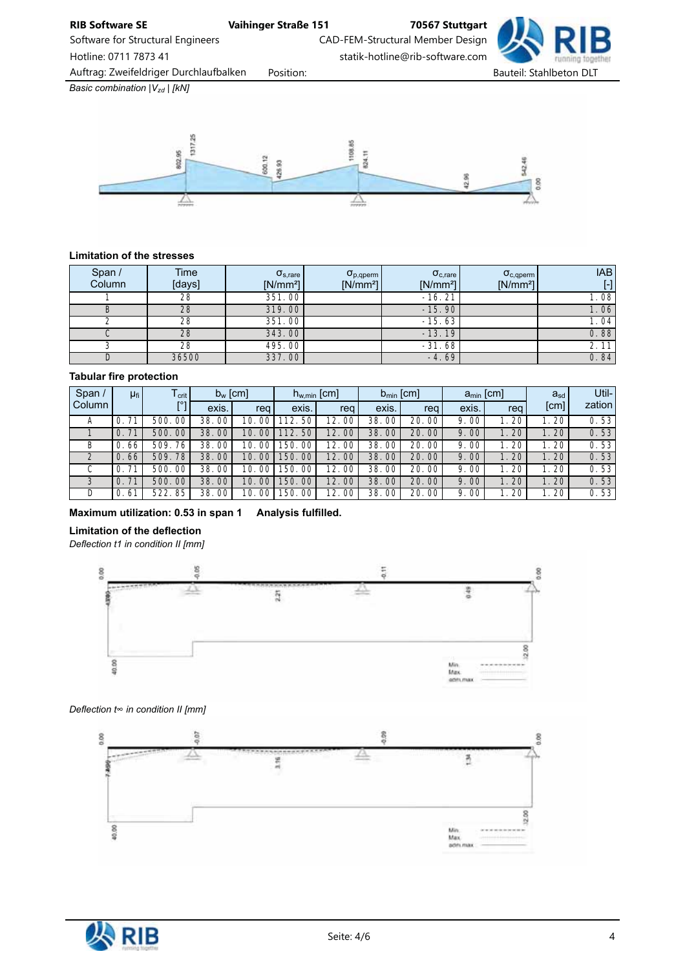

Software for Structural Engineers CAD-FEM-Structural Member Design Hotline: 0711 7873 41 statik-hotline@rib-software.com

Auftrag: Zweifeldriger Durchlaufbalken Position: etc. etc. Bauteil: Stahlbeton DLT

*Basic combination*  $|V_{zd}|$  [kN]



#### Limitation of the stresses

| Span /<br>Column | Time<br>[days] | $\sigma_{s, \text{rare}}$<br>$[N/mm^2]$ | $\sigma_{p,qperm}$<br>$[N/mm^2]$ | $\sigma_{c, \text{rare}}$<br>$[N/mm^2]$ | $\sigma_{c,aperm}$<br>$[N/mm^2]$ | <b>IAB</b><br>$[\cdot]$ |
|------------------|----------------|-----------------------------------------|----------------------------------|-----------------------------------------|----------------------------------|-------------------------|
|                  | 28             | 351.00                                  |                                  | $-16.21$                                |                                  | 1.08                    |
|                  | 28             | 319.00                                  |                                  | $-15.90$                                |                                  | 1.06                    |
|                  | 28             | 351.00                                  |                                  | $-15.63$                                |                                  | 1.04                    |
|                  | 28             | 343.00                                  |                                  | $-13.19$                                |                                  | 0.88                    |
|                  | 28             | 495.00                                  |                                  | $-31.68$                                |                                  | 2.11                    |
|                  | 36500          | 337.00                                  |                                  | $-4.69$                                 |                                  | 0.84                    |

#### Tabular fire protection

| Span $/$<br>$\mu_{fi}$<br>$I_{\text{crit}}$ |                      | $b_w$ [cm]     |       | $h_{w,min}$ [cm] |              | $b_{\min}$ [cm] |               | $a_{\min}$ [cm] |          | $a_{sd}$ | Util-           |        |
|---------------------------------------------|----------------------|----------------|-------|------------------|--------------|-----------------|---------------|-----------------|----------|----------|-----------------|--------|
| Column                                      |                      | <b>ro</b>      | exis. | reg              | exis.        | req             | exis.         | req             | exis.    | rea      | [cm]            | zation |
| A                                           | 71<br>0.             | 00<br>500.     | 38.00 | 10.<br>00        | 50<br>112.   | 12.<br>00       | 38.<br>00     | 20.00           | 9.00     | 20       | 20              | 0.53   |
|                                             | .71<br>0.            | $00\,$<br>500. | 38.00 | 00<br>10.        | 50<br>112.   | 12.<br>00       | 38.<br>$00\,$ | 20.00           | 9.00     | 20       | 20              | 0.53   |
| B                                           | 66<br>0.             | 76<br>509      | 38.00 | 10.<br>00        | 00<br>150.   | 12.<br>00       | 38.<br>00     | 20.00           | 9.00     | 20       | 20              | 0.53   |
|                                             | 66<br>$\mathbf{0}$ . | 78<br>509      | 38.00 | 10.<br>00        | 00<br>150.   | 12.<br>00       | $00\,$<br>38. | 20.00           | 9.00     | 20       | 20 <sup>1</sup> | 0.53   |
| С                                           | 71<br>0.             | . 00<br>500.   | 38.00 | 10.<br>-00       | 00<br>150.   | 12.<br>00       | 38.<br>00     | 20.00           | 00<br>9. | 20       | 20              | 0.53   |
|                                             | 71<br>$\Omega$ .     | 500.<br>00     | 38.00 | 10.<br>00        | 150.<br>00   | 12.<br>00       | 38.<br>00     | 20.00           | 9.00     | 20       | 20 <sup>1</sup> | 0.53   |
| D                                           | 61<br>0.             | 522.85         | 38.00 | 10.<br>00        | .00'<br>150. | 12.<br>00       | 00<br>38.     | 20.00           | 00<br>9. | 20       | 20              | 0.53   |

# Maximum utilization: 0.53 in span 1 Analysis fulfilled.

# Limitation of the deflection

*Deflection t1 in condition II [mm]*



#### *Deflection t*∞ *in condition II [mm]*



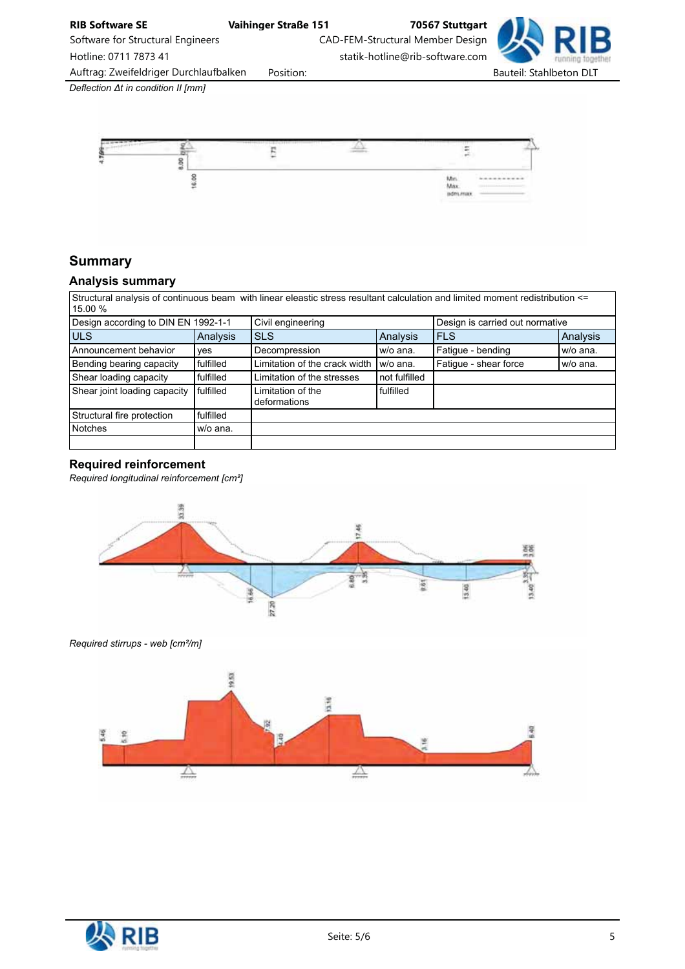

Software for Structural Engineers CAD-FEM-Structural Member Design Hotline: 0711 7873 41 statik-hotline@rib-software.com

Auftrag: Zweifeldriger Durchlaufbalken Position: etc. etc. Bauteil: Stahlbeton DLT

*Deflection* Δ*t in condition II [mm]*



# **Summary**

# Analysis summary

Structural analysis of continuous beam with linear eleastic stress resultant calculation and limited moment redistribution <= 15.00 %

| Design according to DIN EN 1992-1-1 |           | Civil engineering                 |               | Design is carried out normative |          |  |
|-------------------------------------|-----------|-----------------------------------|---------------|---------------------------------|----------|--|
| <b>ULS</b>                          | Analysis  | <b>SLS</b>                        | Analysis      | <b>FLS</b>                      | Analysis |  |
| Announcement behavior               | ves       | Decompression                     | w/o ana.      | Fatigue - bending               | w/o ana. |  |
| Bending bearing capacity            | fulfilled | Limitation of the crack width I   | w/o ana.      | Fatique - shear force           | w/o ana. |  |
| Shear loading capacity              | fulfilled | Limitation of the stresses        | not fulfilled |                                 |          |  |
| Shear joint loading capacity        | fulfilled | Limitation of the<br>deformations | fulfilled     |                                 |          |  |
| Structural fire protection          | fulfilled |                                   |               |                                 |          |  |
| <b>Notches</b>                      | w/o ana.  |                                   |               |                                 |          |  |
|                                     |           |                                   |               |                                 |          |  |

### Required reinforcement

*Required longitudinal reinforcement [cm²]*



*Required stirrups - web [cm²/m]*